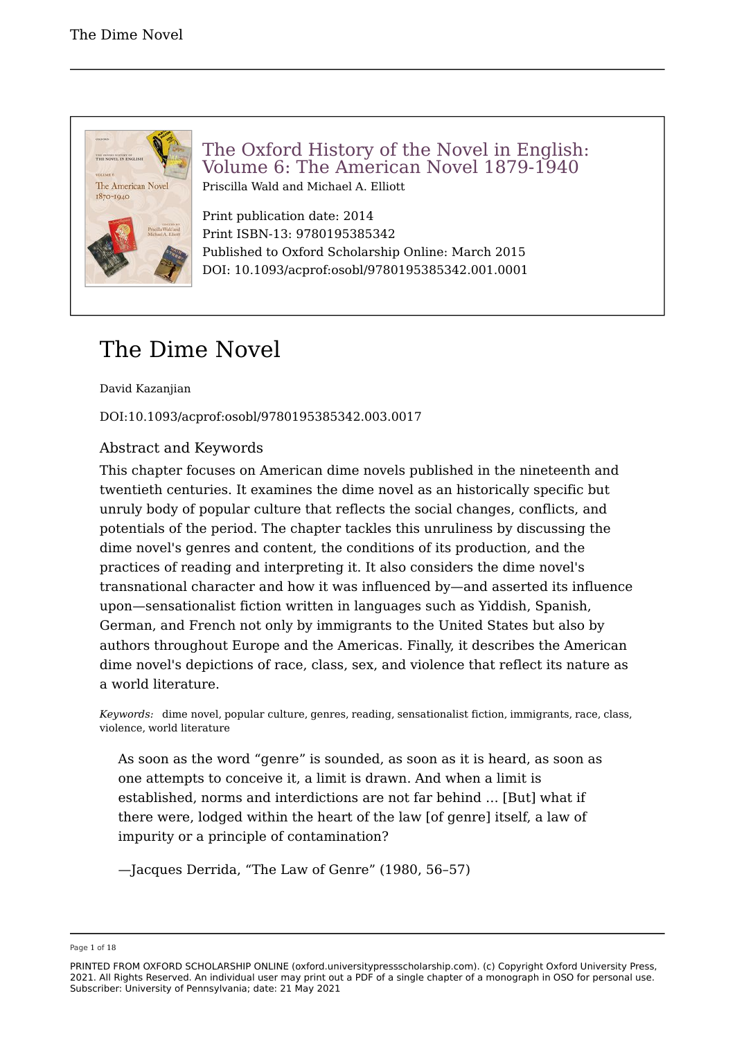

# [The Oxford History of the Novel in English:](https://oxford.universitypressscholarship.com/view/10.1093/acprof:osobl/9780195385342.001.0001/acprof-9780195385342)  [Volume 6: The American Novel 1879-1940](https://oxford.universitypressscholarship.com/view/10.1093/acprof:osobl/9780195385342.001.0001/acprof-9780195385342) Priscilla Wald and Michael A. Elliott

Print publication date: 2014 Print ISBN-13: 9780195385342 Published to Oxford Scholarship Online: March 2015 DOI: 10.1093/acprof:osobl/9780195385342.001.0001

# The Dime Novel

David Kazanjian

DOI:10.1093/acprof:osobl/9780195385342.003.0017

## Abstract and Keywords

This chapter focuses on American dime novels published in the nineteenth and twentieth centuries. It examines the dime novel as an historically specific but unruly body of popular culture that reflects the social changes, conflicts, and potentials of the period. The chapter tackles this unruliness by discussing the dime novel's genres and content, the conditions of its production, and the practices of reading and interpreting it. It also considers the dime novel's transnational character and how it was influenced by—and asserted its influence upon—sensationalist fiction written in languages such as Yiddish, Spanish, German, and French not only by immigrants to the United States but also by authors throughout Europe and the Americas. Finally, it describes the American dime novel's depictions of race, class, sex, and violence that reflect its nature as a world literature.

*Keywords:* [dime novel](https://www.universitypressscholarship.com/search?f_0=keywords&q_0=dime novel), [popular culture,](https://www.universitypressscholarship.com/search?f_0=keywords&q_0=popular culture) [genres](https://www.universitypressscholarship.com/search?f_0=keywords&q_0=genres), [reading](https://www.universitypressscholarship.com/search?f_0=keywords&q_0=reading), [sensationalist fiction,](https://www.universitypressscholarship.com/search?f_0=keywords&q_0=sensationalist fiction) [immigrants](https://www.universitypressscholarship.com/search?f_0=keywords&q_0=immigrants), [race](https://www.universitypressscholarship.com/search?f_0=keywords&q_0=race), [class,](https://www.universitypressscholarship.com/search?f_0=keywords&q_0=class) [violence](https://www.universitypressscholarship.com/search?f_0=keywords&q_0=violence), [world literature](https://www.universitypressscholarship.com/search?f_0=keywords&q_0=world literature)

As soon as the word "genre" is sounded, as soon as it is heard, as soon as one attempts to conceive it, a limit is drawn. And when a limit is established, norms and interdictions are not far behind … [But] what if there were, lodged within the heart of the law [of genre] itself, a law of impurity or a principle of contamination?

[—Jacques Derrida, "The Law of Genre" \(1980](https://oxford.universitypressscholarship.com/view/10.1093/acprof:osobl/9780195385342.001.0001/acprof-9780195385342-bibliography-1#acprof-9780195385342-bibItem-97), 56–57)

Page 1 of 18

PRINTED FROM OXFORD SCHOLARSHIP ONLINE (oxford.universitypressscholarship.com). (c) Copyright Oxford University Press, 2021. All Rights Reserved. An individual user may print out a PDF of a single chapter of a monograph in OSO for personal use. Subscriber: University of Pennsylvania; date: 21 May 2021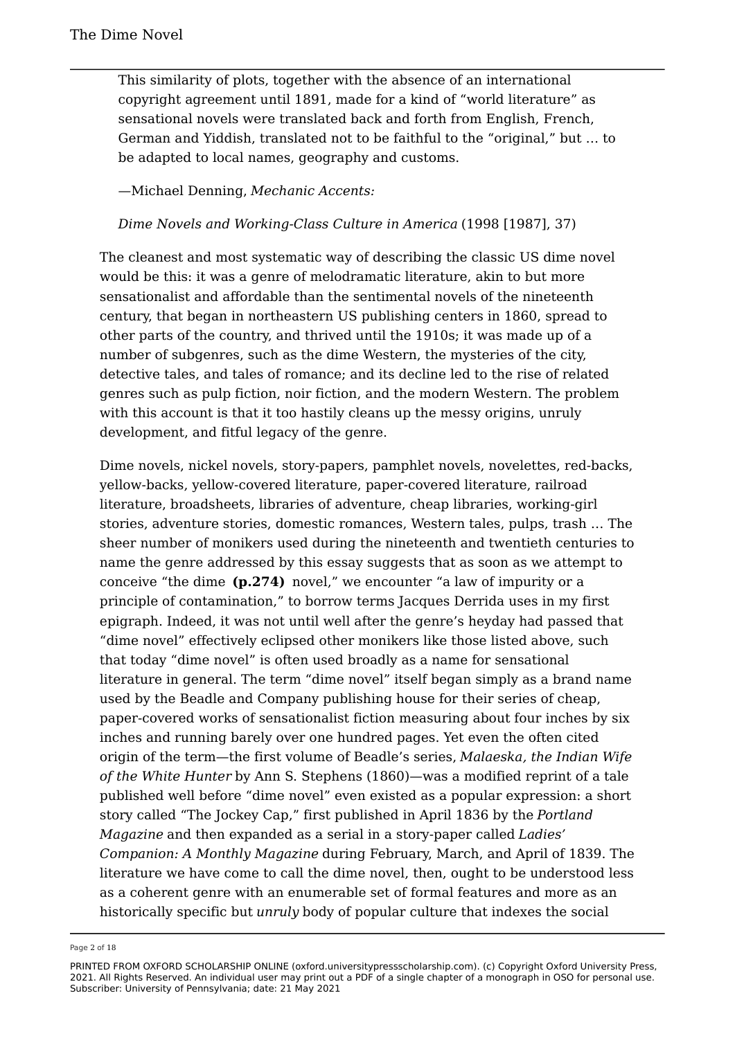This similarity of plots, together with the absence of an international copyright agreement until 1891, made for a kind of "world literature" as sensational novels were translated back and forth from English, French, German and Yiddish, translated not to be faithful to the "original," but … to be adapted to local names, geography and customs.

—Michael Denning, *Mechanic Accents:*

*Dime Novels and Working-Class Culture in America* (1998 [1987], 37)

The cleanest and most systematic way of describing the classic US dime novel would be this: it was a genre of melodramatic literature, akin to but more sensationalist and affordable than the sentimental novels of the nineteenth century, that began in northeastern US publishing centers in 1860, spread to other parts of the country, and thrived until the 1910s; it was made up of a number of subgenres, such as the dime Western, the mysteries of the city, detective tales, and tales of romance; and its decline led to the rise of related genres such as pulp fiction, noir fiction, and the modern Western. The problem with this account is that it too hastily cleans up the messy origins, unruly development, and fitful legacy of the genre.

Dime novels, nickel novels, story-papers, pamphlet novels, novelettes, red-backs, yellow-backs, yellow-covered literature, paper-covered literature, railroad literature, broadsheets, libraries of adventure, cheap libraries, working-girl stories, adventure stories, domestic romances, Western tales, pulps, trash … The sheer number of monikers used during the nineteenth and twentieth centuries to name the genre addressed by this essay suggests that as soon as we attempt to conceive "the dime **(p.274)** novel," we encounter "a law of impurity or a principle of contamination," to borrow terms Jacques Derrida uses in my first epigraph. Indeed, it was not until well after the genre's heyday had passed that "dime novel" effectively eclipsed other monikers like those listed above, such that today "dime novel" is often used broadly as a name for sensational literature in general. The term "dime novel" itself began simply as a brand name used by the Beadle and Company publishing house for their series of cheap, paper-covered works of sensationalist fiction measuring about four inches by six inches and running barely over one hundred pages. Yet even the often cited origin of the term—the first volume of Beadle's series, *Malaeska, the Indian Wife of the White Hunter* by Ann S. Stephens (1860)—was a modified reprint of a tale published well before "dime novel" even existed as a popular expression: a short story called "The Jockey Cap," first published in April 1836 by the *Portland Magazine* and then expanded as a serial in a story-paper called *Ladies' Companion: A Monthly Magazine* during February, March, and April of 1839. The literature we have come to call the dime novel, then, ought to be understood less as a coherent genre with an enumerable set of formal features and more as an historically specific but *unruly* body of popular culture that indexes the social

Page 2 of 18

PRINTED FROM OXFORD SCHOLARSHIP ONLINE (oxford.universitypressscholarship.com). (c) Copyright Oxford University Press, 2021. All Rights Reserved. An individual user may print out a PDF of a single chapter of a monograph in OSO for personal use. Subscriber: University of Pennsylvania; date: 21 May 2021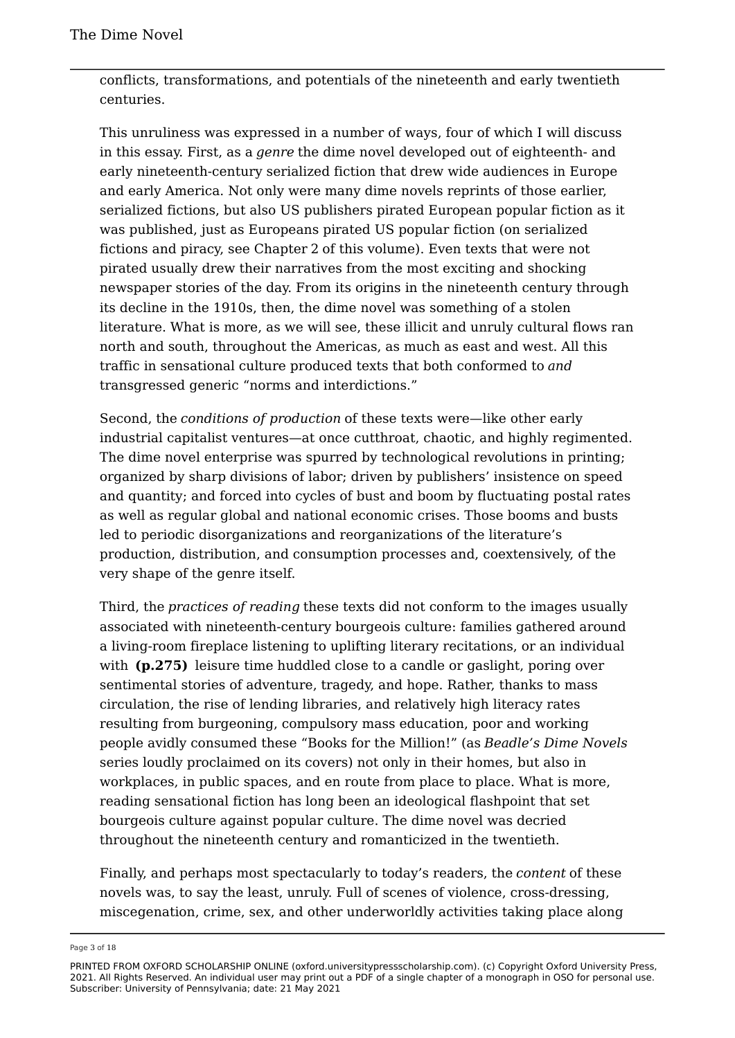conflicts, transformations, and potentials of the nineteenth and early twentieth centuries.

This unruliness was expressed in a number of ways, four of which I will discuss in this essay. First, as a *genre* the dime novel developed out of eighteenth- and early nineteenth-century serialized fiction that drew wide audiences in Europe and early America. Not only were many dime novels reprints of those earlier, serialized fictions, but also US publishers pirated European popular fiction as it was published, just as Europeans pirated US popular fiction (on serialized fictions and piracy, see Chapter [2](https://oxford.universitypressscholarship.com/view/10.1093/acprof:osobl/9780195385342.001.0001/acprof-9780195385342-chapter-2#) of this volume). Even texts that were not pirated usually drew their narratives from the most exciting and shocking newspaper stories of the day. From its origins in the nineteenth century through its decline in the 1910s, then, the dime novel was something of a stolen literature. What is more, as we will see, these illicit and unruly cultural flows ran north and south, throughout the Americas, as much as east and west. All this traffic in sensational culture produced texts that both conformed to *and* transgressed generic "norms and interdictions."

Second, the *conditions of production* of these texts were—like other early industrial capitalist ventures—at once cutthroat, chaotic, and highly regimented. The dime novel enterprise was spurred by technological revolutions in printing; organized by sharp divisions of labor; driven by publishers' insistence on speed and quantity; and forced into cycles of bust and boom by fluctuating postal rates as well as regular global and national economic crises. Those booms and busts led to periodic disorganizations and reorganizations of the literature's production, distribution, and consumption processes and, coextensively, of the very shape of the genre itself.

Third, the *practices of reading* these texts did not conform to the images usually associated with nineteenth-century bourgeois culture: families gathered around a living-room fireplace listening to uplifting literary recitations, or an individual with **(p.275)** leisure time huddled close to a candle or gaslight, poring over sentimental stories of adventure, tragedy, and hope. Rather, thanks to mass circulation, the rise of lending libraries, and relatively high literacy rates resulting from burgeoning, compulsory mass education, poor and working people avidly consumed these "Books for the Million!" (as *Beadle's Dime Novels* series loudly proclaimed on its covers) not only in their homes, but also in workplaces, in public spaces, and en route from place to place. What is more, reading sensational fiction has long been an ideological flashpoint that set bourgeois culture against popular culture. The dime novel was decried throughout the nineteenth century and romanticized in the twentieth.

Finally, and perhaps most spectacularly to today's readers, the *content* of these novels was, to say the least, unruly. Full of scenes of violence, cross-dressing, miscegenation, crime, sex, and other underworldly activities taking place along

Page 3 of 18

PRINTED FROM OXFORD SCHOLARSHIP ONLINE (oxford.universitypressscholarship.com). (c) Copyright Oxford University Press, 2021. All Rights Reserved. An individual user may print out a PDF of a single chapter of a monograph in OSO for personal use. Subscriber: University of Pennsylvania; date: 21 May 2021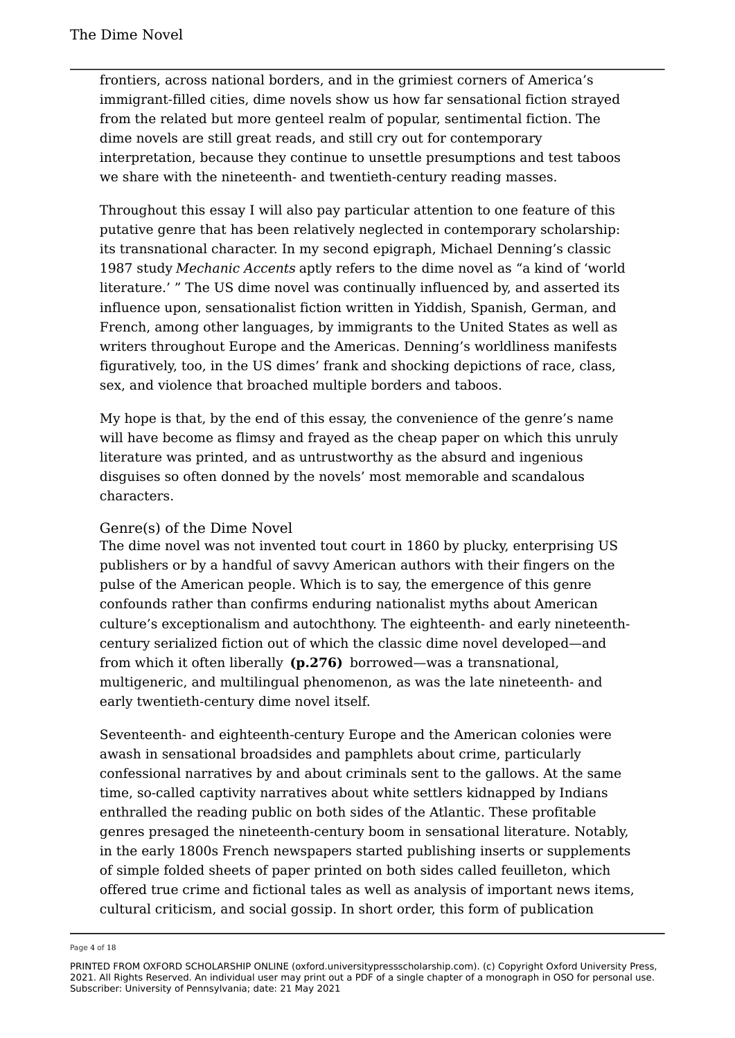frontiers, across national borders, and in the grimiest corners of America's immigrant-filled cities, dime novels show us how far sensational fiction strayed from the related but more genteel realm of popular, sentimental fiction. The dime novels are still great reads, and still cry out for contemporary interpretation, because they continue to unsettle presumptions and test taboos we share with the nineteenth- and twentieth-century reading masses.

Throughout this essay I will also pay particular attention to one feature of this putative genre that has been relatively neglected in contemporary scholarship: its transnational character. In my second epigraph, Michael Denning's classic 1987 study *Mechanic Accents* aptly refers to the dime novel as "a kind of 'world literature.' " The US dime novel was continually influenced by, and asserted its influence upon, sensationalist fiction written in Yiddish, Spanish, German, and French, among other languages, by immigrants to the United States as well as writers throughout Europe and the Americas. Denning's worldliness manifests figuratively, too, in the US dimes' frank and shocking depictions of race, class, sex, and violence that broached multiple borders and taboos.

My hope is that, by the end of this essay, the convenience of the genre's name will have become as flimsy and frayed as the cheap paper on which this unruly literature was printed, and as untrustworthy as the absurd and ingenious disguises so often donned by the novels' most memorable and scandalous characters.

#### Genre(s) of the Dime Novel

The dime novel was not invented tout court in 1860 by plucky, enterprising US publishers or by a handful of savvy American authors with their fingers on the pulse of the American people. Which is to say, the emergence of this genre confounds rather than confirms enduring nationalist myths about American culture's exceptionalism and autochthony. The eighteenth- and early nineteenthcentury serialized fiction out of which the classic dime novel developed—and from which it often liberally **(p.276)** borrowed—was a transnational, multigeneric, and multilingual phenomenon, as was the late nineteenth- and early twentieth-century dime novel itself.

Seventeenth- and eighteenth-century Europe and the American colonies were awash in sensational broadsides and pamphlets about crime, particularly confessional narratives by and about criminals sent to the gallows. At the same time, so-called captivity narratives about white settlers kidnapped by Indians enthralled the reading public on both sides of the Atlantic. These profitable genres presaged the nineteenth-century boom in sensational literature. Notably, in the early 1800s French newspapers started publishing inserts or supplements of simple folded sheets of paper printed on both sides called feuilleton, which offered true crime and fictional tales as well as analysis of important news items, cultural criticism, and social gossip. In short order, this form of publication

Page 4 of 18

PRINTED FROM OXFORD SCHOLARSHIP ONLINE (oxford.universitypressscholarship.com). (c) Copyright Oxford University Press, 2021. All Rights Reserved. An individual user may print out a PDF of a single chapter of a monograph in OSO for personal use. Subscriber: University of Pennsylvania; date: 21 May 2021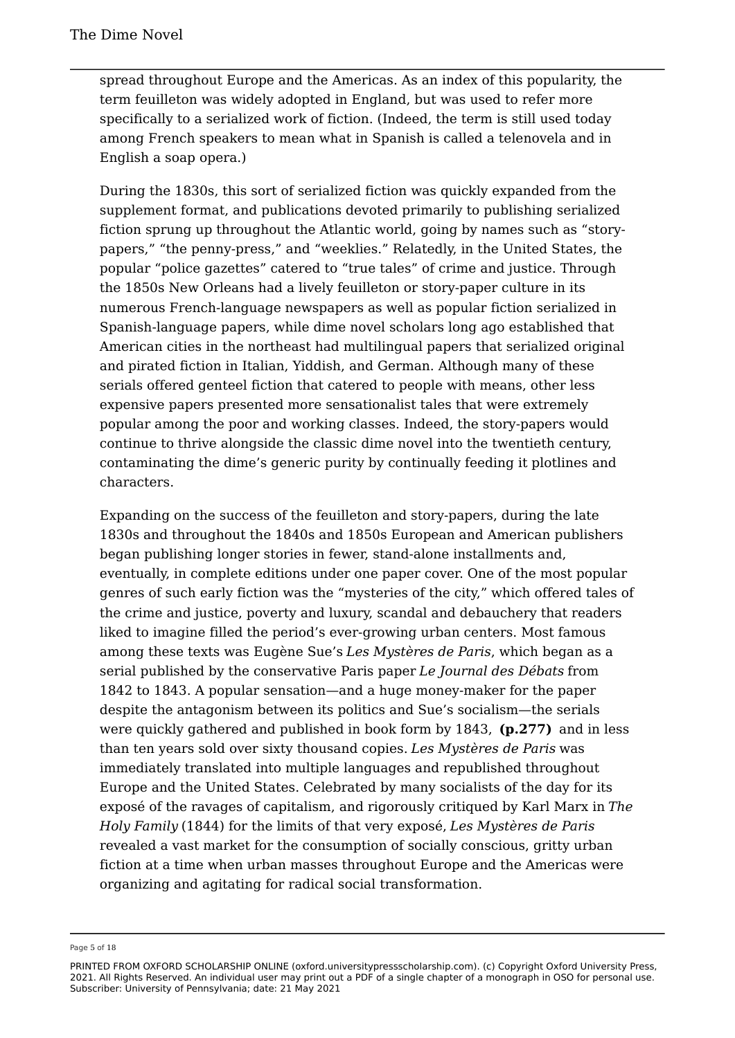spread throughout Europe and the Americas. As an index of this popularity, the term feuilleton was widely adopted in England, but was used to refer more specifically to a serialized work of fiction. (Indeed, the term is still used today among French speakers to mean what in Spanish is called a telenovela and in English a soap opera.)

During the 1830s, this sort of serialized fiction was quickly expanded from the supplement format, and publications devoted primarily to publishing serialized fiction sprung up throughout the Atlantic world, going by names such as "storypapers," "the penny-press," and "weeklies." Relatedly, in the United States, the popular "police gazettes" catered to "true tales" of crime and justice. Through the 1850s New Orleans had a lively feuilleton or story-paper culture in its numerous French-language newspapers as well as popular fiction serialized in Spanish-language papers, while dime novel scholars long ago established that American cities in the northeast had multilingual papers that serialized original and pirated fiction in Italian, Yiddish, and German. Although many of these serials offered genteel fiction that catered to people with means, other less expensive papers presented more sensationalist tales that were extremely popular among the poor and working classes. Indeed, the story-papers would continue to thrive alongside the classic dime novel into the twentieth century, contaminating the dime's generic purity by continually feeding it plotlines and characters.

Expanding on the success of the feuilleton and story-papers, during the late 1830s and throughout the 1840s and 1850s European and American publishers began publishing longer stories in fewer, stand-alone installments and, eventually, in complete editions under one paper cover. One of the most popular genres of such early fiction was the "mysteries of the city," which offered tales of the crime and justice, poverty and luxury, scandal and debauchery that readers liked to imagine filled the period's ever-growing urban centers. Most famous among these texts was Eugène Sue's *Les Mystères de Paris*, which began as a serial published by the conservative Paris paper *Le Journal des Débats* from 1842 to 1843. A popular sensation—and a huge money-maker for the paper despite the antagonism between its politics and Sue's socialism—the serials were quickly gathered and published in book form by 1843, **(p.277)** and in less than ten years sold over sixty thousand copies. *Les Mystères de Paris* was immediately translated into multiple languages and republished throughout Europe and the United States. Celebrated by many socialists of the day for its exposé of the ravages of capitalism, and rigorously critiqued by Karl Marx in *The Holy Family* (1844) for the limits of that very exposé, *Les Mystères de Paris* revealed a vast market for the consumption of socially conscious, gritty urban fiction at a time when urban masses throughout Europe and the Americas were organizing and agitating for radical social transformation.

Page 5 of 18

PRINTED FROM OXFORD SCHOLARSHIP ONLINE (oxford.universitypressscholarship.com). (c) Copyright Oxford University Press, 2021. All Rights Reserved. An individual user may print out a PDF of a single chapter of a monograph in OSO for personal use. Subscriber: University of Pennsylvania; date: 21 May 2021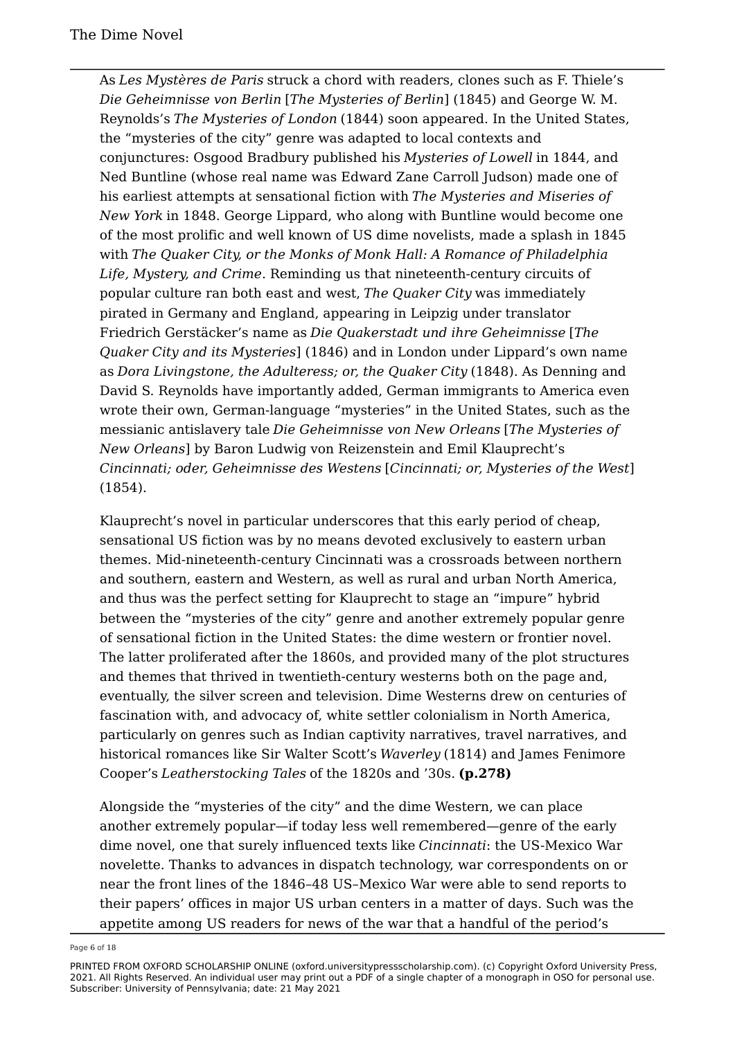As *Les Mystères de Paris* struck a chord with readers, clones such as F. Thiele's *Die Geheimnisse von Berlin* [*The Mysteries of Berlin*] (1845) and George W. M. Reynolds's *The Mysteries of London* (1844) soon appeared. In the United States, the "mysteries of the city" genre was adapted to local contexts and conjunctures: Osgood Bradbury published his *Mysteries of Lowell* in 1844, and Ned Buntline (whose real name was Edward Zane Carroll Judson) made one of his earliest attempts at sensational fiction with *The Mysteries and Miseries of New York* in 1848. George Lippard, who along with Buntline would become one of the most prolific and well known of US dime novelists, made a splash in 1845 with *The Quaker City, or the Monks of Monk Hall: A Romance of Philadelphia Life, Mystery, and Crime*. Reminding us that nineteenth-century circuits of popular culture ran both east and west, *The Quaker City* was immediately pirated in Germany and England, appearing in Leipzig under translator Friedrich Gerstäcker's name as *Die Quakerstadt und ihre Geheimnisse* [*The Quaker City and its Mysteries*] (1846) and in London under Lippard's own name as *Dora Livingstone, the Adulteress; or, the Quaker City* (1848). As Denning and David S. Reynolds have importantly added, German immigrants to America even wrote their own, German-language "mysteries" in the United States, such as the messianic antislavery tale *Die Geheimnisse von New Orleans* [*The Mysteries of New Orleans*] by Baron Ludwig von Reizenstein and Emil Klauprecht's *Cincinnati; oder, Geheimnisse des Westens* [*Cincinnati; or, Mysteries of the West*] (1854).

Klauprecht's novel in particular underscores that this early period of cheap, sensational US fiction was by no means devoted exclusively to eastern urban themes. Mid-nineteenth-century Cincinnati was a crossroads between northern and southern, eastern and Western, as well as rural and urban North America, and thus was the perfect setting for Klauprecht to stage an "impure" hybrid between the "mysteries of the city" genre and another extremely popular genre of sensational fiction in the United States: the dime western or frontier novel. The latter proliferated after the 1860s, and provided many of the plot structures and themes that thrived in twentieth-century westerns both on the page and, eventually, the silver screen and television. Dime Westerns drew on centuries of fascination with, and advocacy of, white settler colonialism in North America, particularly on genres such as Indian captivity narratives, travel narratives, and historical romances like Sir Walter Scott's *Waverley* (1814) and James Fenimore Cooper's *Leatherstocking Tales* of the 1820s and '30s. **(p.278)**

Alongside the "mysteries of the city" and the dime Western, we can place another extremely popular—if today less well remembered—genre of the early dime novel, one that surely influenced texts like *Cincinnati*: the US-Mexico War novelette. Thanks to advances in dispatch technology, war correspondents on or near the front lines of the 1846–48 US–Mexico War were able to send reports to their papers' offices in major US urban centers in a matter of days. Such was the appetite among US readers for news of the war that a handful of the period's

Page 6 of 18

PRINTED FROM OXFORD SCHOLARSHIP ONLINE (oxford.universitypressscholarship.com). (c) Copyright Oxford University Press, 2021. All Rights Reserved. An individual user may print out a PDF of a single chapter of a monograph in OSO for personal use. Subscriber: University of Pennsylvania; date: 21 May 2021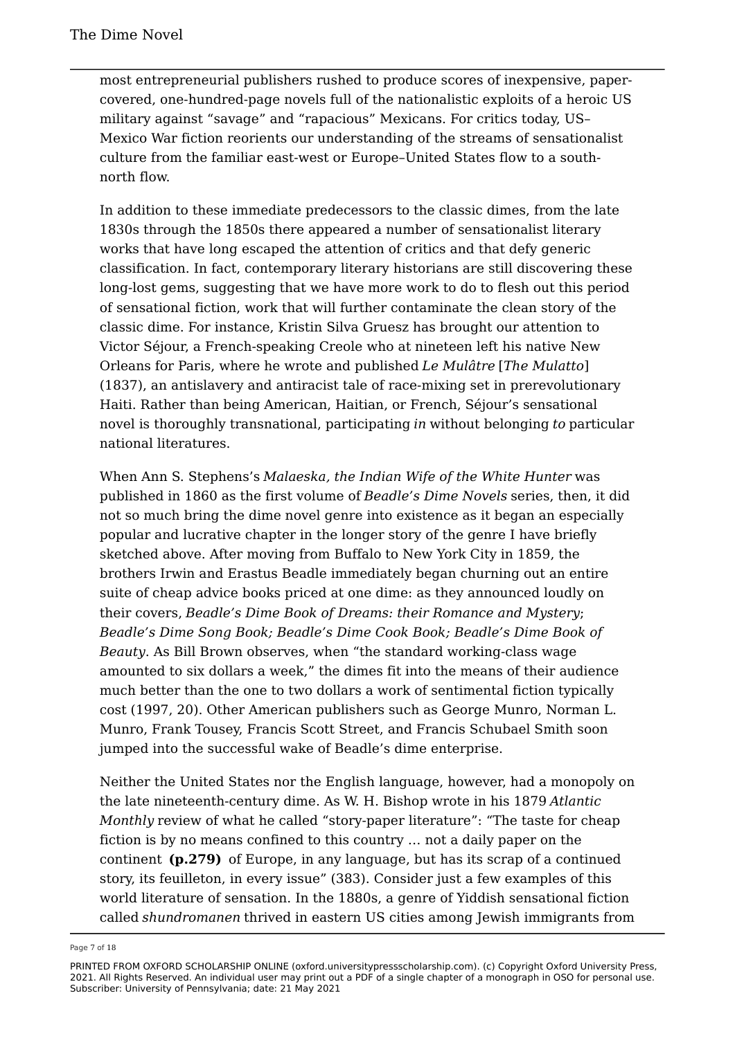most entrepreneurial publishers rushed to produce scores of inexpensive, papercovered, one-hundred-page novels full of the nationalistic exploits of a heroic US military against "savage" and "rapacious" Mexicans. For critics today, US– Mexico War fiction reorients our understanding of the streams of sensationalist culture from the familiar east-west or Europe–United States flow to a southnorth flow.

In addition to these immediate predecessors to the classic dimes, from the late 1830s through the 1850s there appeared a number of sensationalist literary works that have long escaped the attention of critics and that defy generic classification. In fact, contemporary literary historians are still discovering these long-lost gems, suggesting that we have more work to do to flesh out this period of sensational fiction, work that will further contaminate the clean story of the classic dime. For instance, Kristin Silva Gruesz has brought our attention to Victor Séjour, a French-speaking Creole who at nineteen left his native New Orleans for Paris, where he wrote and published *Le Mulâtre* [*The Mulatto*] (1837), an antislavery and antiracist tale of race-mixing set in prerevolutionary Haiti. Rather than being American, Haitian, or French, Séjour's sensational novel is thoroughly transnational, participating *in* without belonging *to* particular national literatures.

When Ann S. Stephens's *Malaeska, the Indian Wife of the White Hunter* was published in 1860 as the first volume of *Beadle's Dime Novels* series, then, it did not so much bring the dime novel genre into existence as it began an especially popular and lucrative chapter in the longer story of the genre I have briefly sketched above. After moving from Buffalo to New York City in 1859, the brothers Irwin and Erastus Beadle immediately began churning out an entire suite of cheap advice books priced at one dime: as they announced loudly on their covers, *Beadle's Dime Book of Dreams: their Romance and Mystery*; *Beadle's Dime Song Book; Beadle's Dime Cook Book; Beadle's Dime Book of Beauty*. As Bill Brown observes, when "the standard working-class wage amounted to six dollars a week," the dimes fit into the means of their audience much better than the one to two dollars a work of sentimental fiction typically cost (1997, 20). Other American publishers such as George Munro, Norman L. Munro, Frank Tousey, Francis Scott Street, and Francis Schubael Smith soon jumped into the successful wake of Beadle's dime enterprise.

Neither the United States nor the English language, however, had a monopoly on the late nineteenth-century dime. As W. H. Bishop wrote in his 1879 *Atlantic Monthly* review of what he called "story-paper literature": "The taste for cheap fiction is by no means confined to this country … not a daily paper on the continent **(p.279)** of Europe, in any language, but has its scrap of a continued story, its feuilleton, in every issue" (383). Consider just a few examples of this world literature of sensation. In the 1880s, a genre of Yiddish sensational fiction called *shundromanen* thrived in eastern US cities among Jewish immigrants from

Page 7 of 18

PRINTED FROM OXFORD SCHOLARSHIP ONLINE (oxford.universitypressscholarship.com). (c) Copyright Oxford University Press, 2021. All Rights Reserved. An individual user may print out a PDF of a single chapter of a monograph in OSO for personal use. Subscriber: University of Pennsylvania; date: 21 May 2021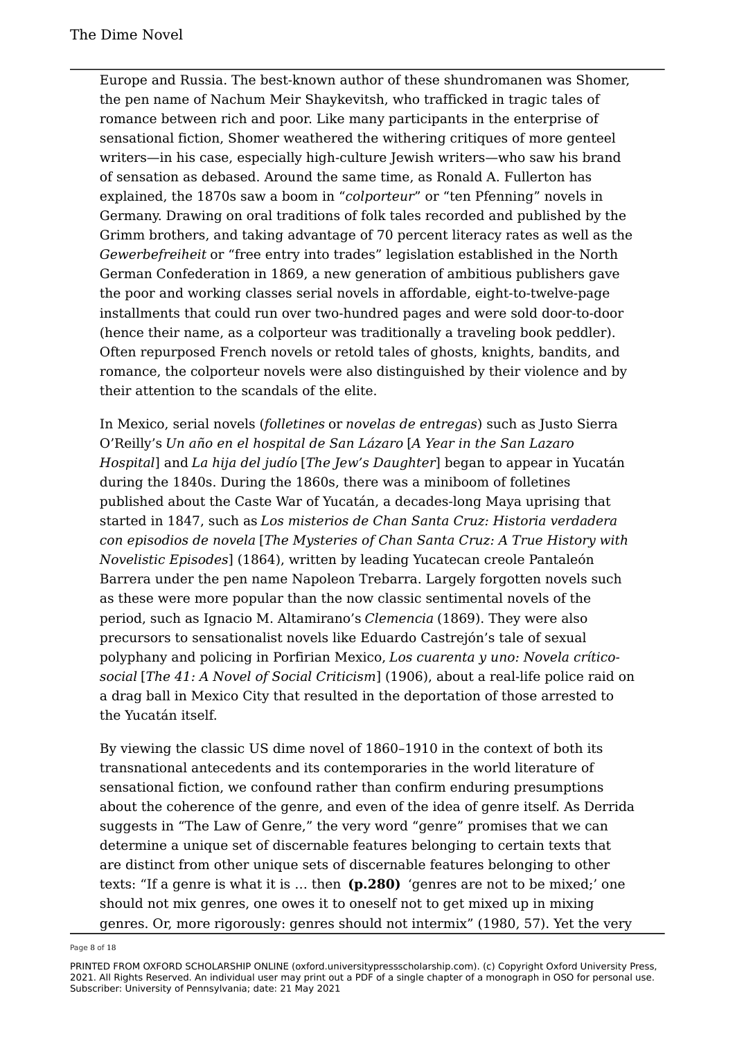Europe and Russia. The best-known author of these shundromanen was Shomer, the pen name of Nachum Meir Shaykevitsh, who trafficked in tragic tales of romance between rich and poor. Like many participants in the enterprise of sensational fiction, Shomer weathered the withering critiques of more genteel writers—in his case, especially high-culture Jewish writers—who saw his brand of sensation as debased. Around the same time, as Ronald A. Fullerton has explained, the 1870s saw a boom in "*colporteur*" or "ten Pfenning" novels in Germany. Drawing on oral traditions of folk tales recorded and published by the Grimm brothers, and taking advantage of 70 percent literacy rates as well as the *Gewerbefreiheit* or "free entry into trades" legislation established in the North German Confederation in 1869, a new generation of ambitious publishers gave the poor and working classes serial novels in affordable, eight-to-twelve-page installments that could run over two-hundred pages and were sold door-to-door (hence their name, as a colporteur was traditionally a traveling book peddler). Often repurposed French novels or retold tales of ghosts, knights, bandits, and romance, the colporteur novels were also distinguished by their violence and by their attention to the scandals of the elite.

In Mexico, serial novels (*folletines* or *novelas de entregas*) such as Justo Sierra O'Reilly's *Un año en el hospital de San Lázaro* [*A Year in the San Lazaro Hospital*] and *La hija del judío* [*The Jew's Daughter*] began to appear in Yucatán during the 1840s. During the 1860s, there was a miniboom of folletines published about the Caste War of Yucatán, a decades-long Maya uprising that started in 1847, such as *Los misterios de Chan Santa Cruz: Historia verdadera con episodios de novela* [*The Mysteries of Chan Santa Cruz: A True History with Novelistic Episodes*] (1864), written by leading Yucatecan creole Pantaleón Barrera under the pen name Napoleon Trebarra. Largely forgotten novels such as these were more popular than the now classic sentimental novels of the period, such as Ignacio M. Altamirano's *Clemencia* (1869). They were also precursors to sensationalist novels like Eduardo Castrejón's tale of sexual polyphany and policing in Porfirian Mexico, *Los cuarenta y uno: Novela críticosocial* [*The 41: A Novel of Social Criticism*] (1906), about a real-life police raid on a drag ball in Mexico City that resulted in the deportation of those arrested to the Yucatán itself.

By viewing the classic US dime novel of 1860–1910 in the context of both its transnational antecedents and its contemporaries in the world literature of sensational fiction, we confound rather than confirm enduring presumptions about the coherence of the genre, and even of the idea of genre itself. As Derrida suggests in "The Law of Genre," the very word "genre" promises that we can determine a unique set of discernable features belonging to certain texts that are distinct from other unique sets of discernable features belonging to other texts: "If a genre is what it is … then **(p.280)** 'genres are not to be mixed;' one should not mix genres, one owes it to oneself not to get mixed up in mixing genres. Or, more rigorously: genres should not intermix" (1980, 57). Yet the very

Page 8 of 18

PRINTED FROM OXFORD SCHOLARSHIP ONLINE (oxford.universitypressscholarship.com). (c) Copyright Oxford University Press, 2021. All Rights Reserved. An individual user may print out a PDF of a single chapter of a monograph in OSO for personal use. Subscriber: University of Pennsylvania; date: 21 May 2021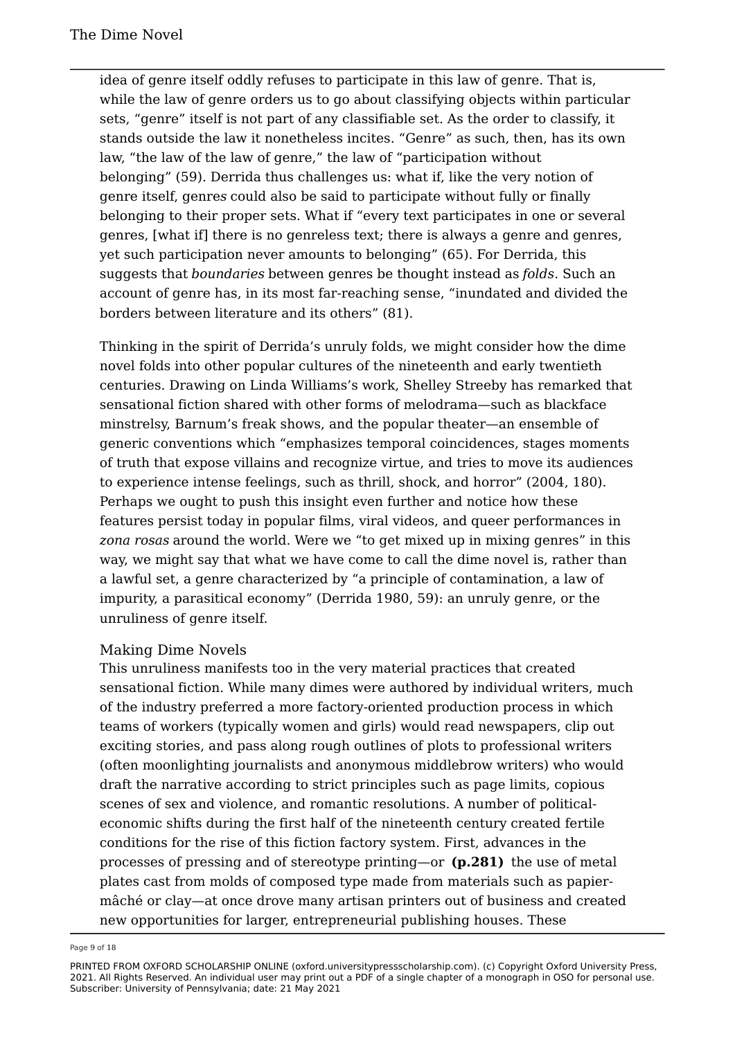idea of genre itself oddly refuses to participate in this law of genre. That is, while the law of genre orders us to go about classifying objects within particular sets, "genre" itself is not part of any classifiable set. As the order to classify, it stands outside the law it nonetheless incites. "Genre" as such, then, has its own law, "the law of the law of genre," the law of "participation without belonging" (59). Derrida thus challenges us: what if, like the very notion of genre itself, genre*s* could also be said to participate without fully or finally belonging to their proper sets. What if "every text participates in one or several genres, [what if] there is no genreless text; there is always a genre and genres, yet such participation never amounts to belonging" (65). For Derrida, this suggests that *boundaries* between genres be thought instead as *folds*. Such an account of genre has, in its most far-reaching sense, "inundated and divided the borders between literature and its others" (81).

Thinking in the spirit of Derrida's unruly folds, we might consider how the dime novel folds into other popular cultures of the nineteenth and early twentieth centuries. Drawing on Linda Williams's work, Shelley Streeby has remarked that sensational fiction shared with other forms of melodrama—such as blackface minstrelsy, Barnum's freak shows, and the popular theater—an ensemble of generic conventions which "emphasizes temporal coincidences, stages moments of truth that expose villains and recognize virtue, and tries to move its audiences to experience intense feelings, such as thrill, shock, and horror" (2004, 180). Perhaps we ought to push this insight even further and notice how these features persist today in popular films, viral videos, and queer performances in *zona rosas* around the world. Were we "to get mixed up in mixing genres" in this way, we might say that what we have come to call the dime novel is, rather than a lawful set, a genre characterized by "a principle of contamination, a law of impurity, a parasitical economy" ([Derrida 1980](https://oxford.universitypressscholarship.com/view/10.1093/acprof:osobl/9780195385342.001.0001/acprof-9780195385342-bibliography-1#acprof-9780195385342-bibItem-97), 59): an unruly genre, or the unruliness of genre itself.

#### Making Dime Novels

This unruliness manifests too in the very material practices that created sensational fiction. While many dimes were authored by individual writers, much of the industry preferred a more factory-oriented production process in which teams of workers (typically women and girls) would read newspapers, clip out exciting stories, and pass along rough outlines of plots to professional writers (often moonlighting journalists and anonymous middlebrow writers) who would draft the narrative according to strict principles such as page limits, copious scenes of sex and violence, and romantic resolutions. A number of politicaleconomic shifts during the first half of the nineteenth century created fertile conditions for the rise of this fiction factory system. First, advances in the processes of pressing and of stereotype printing—or **(p.281)** the use of metal plates cast from molds of composed type made from materials such as papiermâché or clay—at once drove many artisan printers out of business and created new opportunities for larger, entrepreneurial publishing houses. These

Page 9 of 18

PRINTED FROM OXFORD SCHOLARSHIP ONLINE (oxford.universitypressscholarship.com). (c) Copyright Oxford University Press, 2021. All Rights Reserved. An individual user may print out a PDF of a single chapter of a monograph in OSO for personal use. Subscriber: University of Pennsylvania; date: 21 May 2021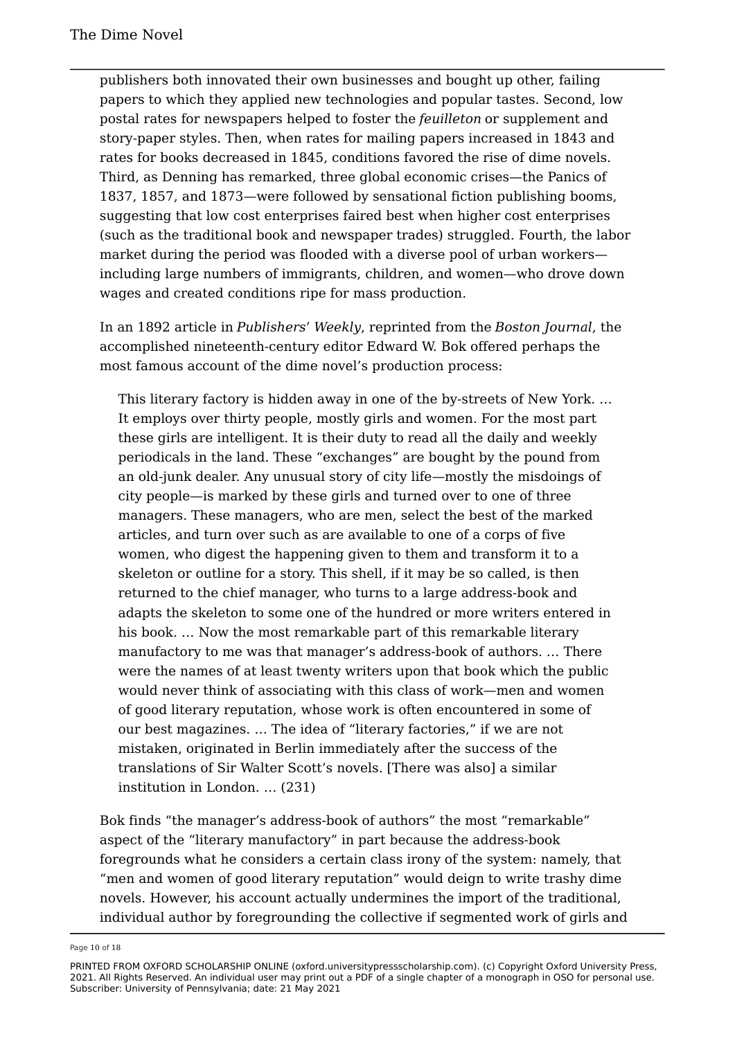publishers both innovated their own businesses and bought up other, failing papers to which they applied new technologies and popular tastes. Second, low postal rates for newspapers helped to foster the *feuilleton* or supplement and story-paper styles. Then, when rates for mailing papers increased in 1843 and rates for books decreased in 1845, conditions favored the rise of dime novels. Third, as Denning has remarked, three global economic crises—the Panics of 1837, 1857, and 1873—were followed by sensational fiction publishing booms, suggesting that low cost enterprises faired best when higher cost enterprises (such as the traditional book and newspaper trades) struggled. Fourth, the labor market during the period was flooded with a diverse pool of urban workers including large numbers of immigrants, children, and women—who drove down wages and created conditions ripe for mass production.

In an 1892 article in *Publishers' Weekly*, reprinted from the *Boston Journal*, the accomplished nineteenth-century editor Edward W. Bok offered perhaps the most famous account of the dime novel's production process:

This literary factory is hidden away in one of the by-streets of New York. … It employs over thirty people, mostly girls and women. For the most part these girls are intelligent. It is their duty to read all the daily and weekly periodicals in the land. These "exchanges" are bought by the pound from an old-junk dealer. Any unusual story of city life—mostly the misdoings of city people—is marked by these girls and turned over to one of three managers. These managers, who are men, select the best of the marked articles, and turn over such as are available to one of a corps of five women, who digest the happening given to them and transform it to a skeleton or outline for a story. This shell, if it may be so called, is then returned to the chief manager, who turns to a large address-book and adapts the skeleton to some one of the hundred or more writers entered in his book. ... Now the most remarkable part of this remarkable literary manufactory to me was that manager's address-book of authors. … There were the names of at least twenty writers upon that book which the public would never think of associating with this class of work—men and women of good literary reputation, whose work is often encountered in some of our best magazines. … The idea of "literary factories," if we are not mistaken, originated in Berlin immediately after the success of the translations of Sir Walter Scott's novels. [There was also] a similar institution in London. … (231)

Bok finds "the manager's address-book of authors" the most "remarkable" aspect of the "literary manufactory" in part because the address-book foregrounds what he considers a certain class irony of the system: namely, that "men and women of good literary reputation" would deign to write trashy dime novels. However, his account actually undermines the import of the traditional, individual author by foregrounding the collective if segmented work of girls and

Page 10 of 18

PRINTED FROM OXFORD SCHOLARSHIP ONLINE (oxford.universitypressscholarship.com). (c) Copyright Oxford University Press, 2021. All Rights Reserved. An individual user may print out a PDF of a single chapter of a monograph in OSO for personal use. Subscriber: University of Pennsylvania; date: 21 May 2021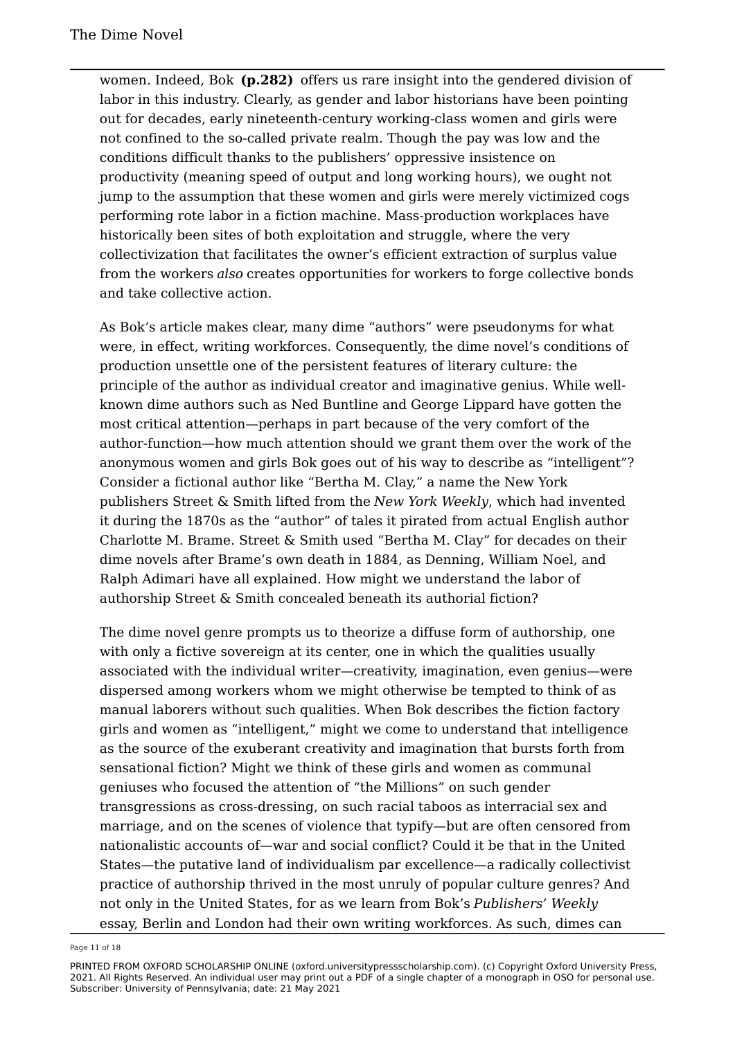women. Indeed, Bok **(p.282)** offers us rare insight into the gendered division of labor in this industry. Clearly, as gender and labor historians have been pointing out for decades, early nineteenth-century working-class women and girls were not confined to the so-called private realm. Though the pay was low and the conditions difficult thanks to the publishers' oppressive insistence on productivity (meaning speed of output and long working hours), we ought not jump to the assumption that these women and girls were merely victimized cogs performing rote labor in a fiction machine. Mass-production workplaces have historically been sites of both exploitation and struggle, where the very collectivization that facilitates the owner's efficient extraction of surplus value from the workers *also* creates opportunities for workers to forge collective bonds and take collective action.

As Bok's article makes clear, many dime "authors" were pseudonyms for what were, in effect, writing workforces. Consequently, the dime novel's conditions of production unsettle one of the persistent features of literary culture: the principle of the author as individual creator and imaginative genius. While wellknown dime authors such as Ned Buntline and George Lippard have gotten the most critical attention—perhaps in part because of the very comfort of the author-function—how much attention should we grant them over the work of the anonymous women and girls Bok goes out of his way to describe as "intelligent"? Consider a fictional author like "Bertha M. Clay," a name the New York publishers Street & Smith lifted from the *New York Weekly*, which had invented it during the 1870s as the "author" of tales it pirated from actual English author Charlotte M. Brame. Street & Smith used "Bertha M. Clay" for decades on their dime novels after Brame's own death in 1884, as Denning, William Noel, and Ralph Adimari have all explained. How might we understand the labor of authorship Street & Smith concealed beneath its authorial fiction?

The dime novel genre prompts us to theorize a diffuse form of authorship, one with only a fictive sovereign at its center, one in which the qualities usually associated with the individual writer—creativity, imagination, even genius—were dispersed among workers whom we might otherwise be tempted to think of as manual laborers without such qualities. When Bok describes the fiction factory girls and women as "intelligent," might we come to understand that intelligence as the source of the exuberant creativity and imagination that bursts forth from sensational fiction? Might we think of these girls and women as communal geniuses who focused the attention of "the Millions" on such gender transgressions as cross-dressing, on such racial taboos as interracial sex and marriage, and on the scenes of violence that typify—but are often censored from nationalistic accounts of—war and social conflict? Could it be that in the United States—the putative land of individualism par excellence—a radically collectivist practice of authorship thrived in the most unruly of popular culture genres? And not only in the United States, for as we learn from Bok's *Publishers' Weekly* essay, Berlin and London had their own writing workforces. As such, dimes can

Page 11 of 18

PRINTED FROM OXFORD SCHOLARSHIP ONLINE (oxford.universitypressscholarship.com). (c) Copyright Oxford University Press, 2021. All Rights Reserved. An individual user may print out a PDF of a single chapter of a monograph in OSO for personal use. Subscriber: University of Pennsylvania; date: 21 May 2021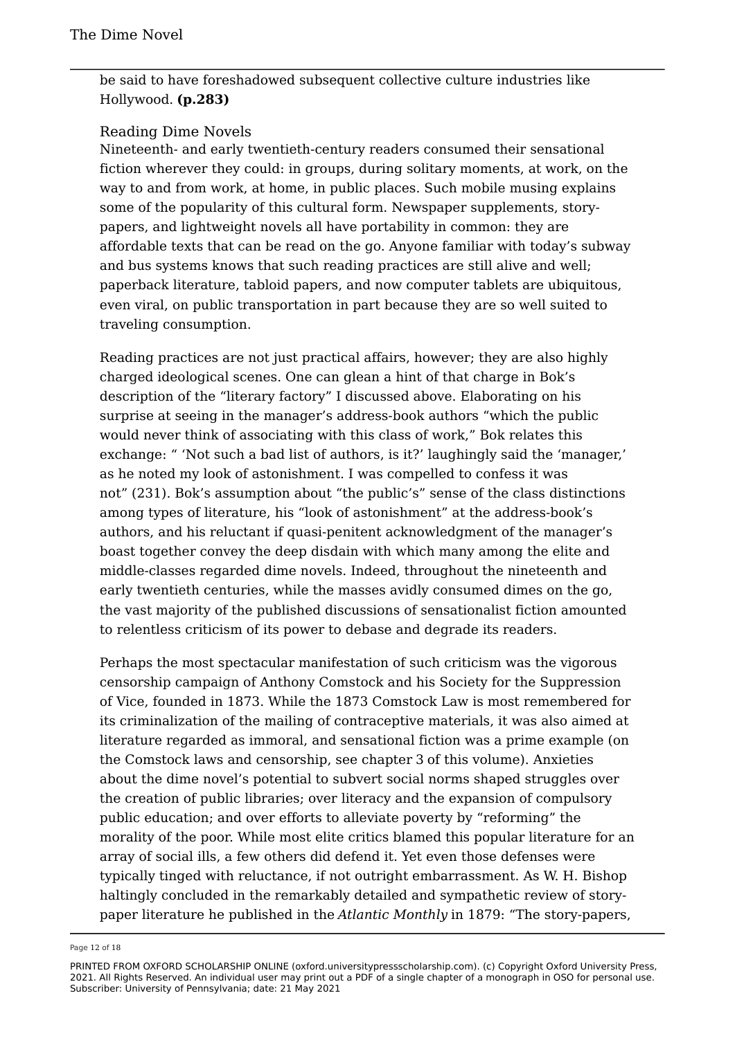be said to have foreshadowed subsequent collective culture industries like Hollywood. **(p.283)**

## Reading Dime Novels

Nineteenth- and early twentieth-century readers consumed their sensational fiction wherever they could: in groups, during solitary moments, at work, on the way to and from work, at home, in public places. Such mobile musing explains some of the popularity of this cultural form. Newspaper supplements, storypapers, and lightweight novels all have portability in common: they are affordable texts that can be read on the go. Anyone familiar with today's subway and bus systems knows that such reading practices are still alive and well; paperback literature, tabloid papers, and now computer tablets are ubiquitous, even viral, on public transportation in part because they are so well suited to traveling consumption.

Reading practices are not just practical affairs, however; they are also highly charged ideological scenes. One can glean a hint of that charge in Bok's description of the "literary factory" I discussed above. Elaborating on his surprise at seeing in the manager's address-book authors "which the public would never think of associating with this class of work," Bok relates this exchange: " 'Not such a bad list of authors, is it?' laughingly said the 'manager,' as he noted my look of astonishment. I was compelled to confess it was not" (231). Bok's assumption about "the public's" sense of the class distinctions among types of literature, his "look of astonishment" at the address-book's authors, and his reluctant if quasi-penitent acknowledgment of the manager's boast together convey the deep disdain with which many among the elite and middle-classes regarded dime novels. Indeed, throughout the nineteenth and early twentieth centuries, while the masses avidly consumed dimes on the go, the vast majority of the published discussions of sensationalist fiction amounted to relentless criticism of its power to debase and degrade its readers.

Perhaps the most spectacular manifestation of such criticism was the vigorous censorship campaign of Anthony Comstock and his Society for the Suppression of Vice, founded in 1873. While the 1873 Comstock Law is most remembered for its criminalization of the mailing of contraceptive materials, it was also aimed at literature regarded as immoral, and sensational fiction was a prime example (on the Comstock laws and censorship, see chapter [3](https://oxford.universitypressscholarship.com/view/10.1093/acprof:osobl/9780195385342.001.0001/acprof-9780195385342-chapter-3#) of this volume). Anxieties about the dime novel's potential to subvert social norms shaped struggles over the creation of public libraries; over literacy and the expansion of compulsory public education; and over efforts to alleviate poverty by "reforming" the morality of the poor. While most elite critics blamed this popular literature for an array of social ills, a few others did defend it. Yet even those defenses were typically tinged with reluctance, if not outright embarrassment. As W. H. Bishop haltingly concluded in the remarkably detailed and sympathetic review of storypaper literature he published in the *Atlantic Monthly* in 1879: "The story-papers,

Page 12 of 18

PRINTED FROM OXFORD SCHOLARSHIP ONLINE (oxford.universitypressscholarship.com). (c) Copyright Oxford University Press, 2021. All Rights Reserved. An individual user may print out a PDF of a single chapter of a monograph in OSO for personal use. Subscriber: University of Pennsylvania; date: 21 May 2021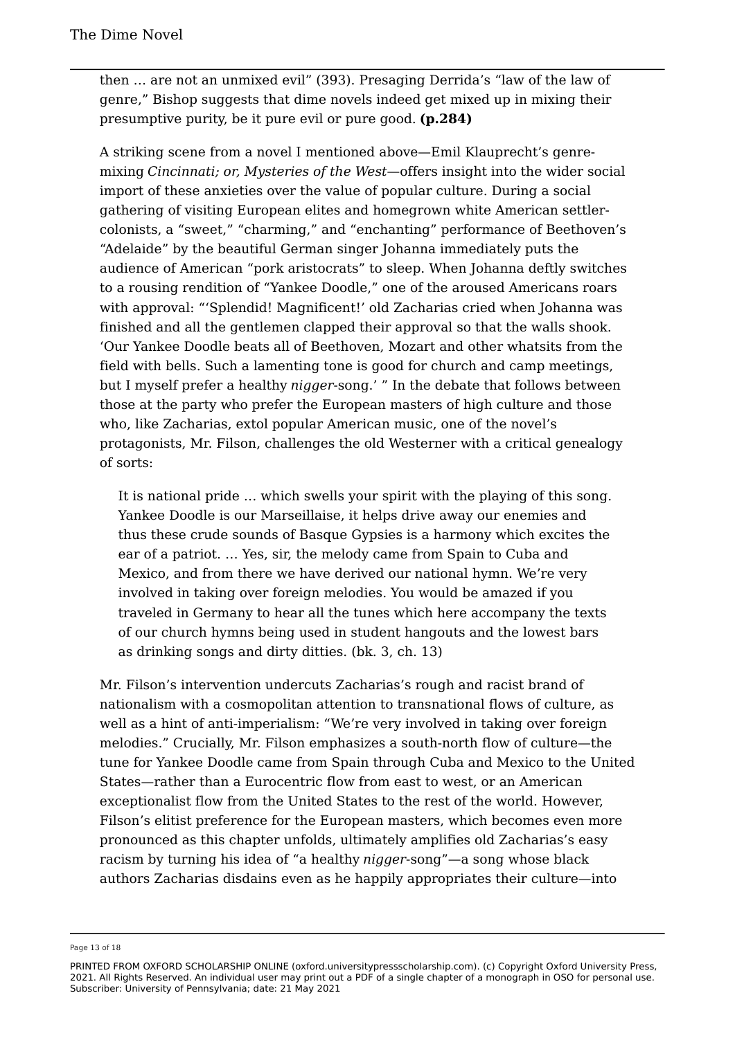then … are not an unmixed evil" (393). Presaging Derrida's "law of the law of genre," Bishop suggests that dime novels indeed get mixed up in mixing their presumptive purity, be it pure evil or pure good. **(p.284)**

A striking scene from a novel I mentioned above—Emil Klauprecht's genremixing *Cincinnati; or, Mysteries of the West*—offers insight into the wider social import of these anxieties over the value of popular culture. During a social gathering of visiting European elites and homegrown white American settlercolonists, a "sweet," "charming," and "enchanting" performance of Beethoven's "Adelaide" by the beautiful German singer Johanna immediately puts the audience of American "pork aristocrats" to sleep. When Johanna deftly switches to a rousing rendition of "Yankee Doodle," one of the aroused Americans roars with approval: "'Splendid! Magnificent!' old Zacharias cried when Johanna was finished and all the gentlemen clapped their approval so that the walls shook. 'Our Yankee Doodle beats all of Beethoven, Mozart and other whatsits from the field with bells. Such a lamenting tone is good for church and camp meetings, but I myself prefer a healthy *nigger*-song.' " In the debate that follows between those at the party who prefer the European masters of high culture and those who, like Zacharias, extol popular American music, one of the novel's protagonists, Mr. Filson, challenges the old Westerner with a critical genealogy of sorts:

It is national pride … which swells your spirit with the playing of this song. Yankee Doodle is our Marseillaise, it helps drive away our enemies and thus these crude sounds of Basque Gypsies is a harmony which excites the ear of a patriot. … Yes, sir, the melody came from Spain to Cuba and Mexico, and from there we have derived our national hymn. We're very involved in taking over foreign melodies. You would be amazed if you traveled in Germany to hear all the tunes which here accompany the texts of our church hymns being used in student hangouts and the lowest bars as drinking songs and dirty ditties. (bk. 3, ch. 13)

Mr. Filson's intervention undercuts Zacharias's rough and racist brand of nationalism with a cosmopolitan attention to transnational flows of culture, as well as a hint of anti-imperialism: "We're very involved in taking over foreign melodies." Crucially, Mr. Filson emphasizes a south-north flow of culture—the tune for Yankee Doodle came from Spain through Cuba and Mexico to the United States—rather than a Eurocentric flow from east to west, or an American exceptionalist flow from the United States to the rest of the world. However, Filson's elitist preference for the European masters, which becomes even more pronounced as this chapter unfolds, ultimately amplifies old Zacharias's easy racism by turning his idea of "a healthy *nigger*-song"—a song whose black authors Zacharias disdains even as he happily appropriates their culture—into

Page 13 of 18

PRINTED FROM OXFORD SCHOLARSHIP ONLINE (oxford.universitypressscholarship.com). (c) Copyright Oxford University Press, 2021. All Rights Reserved. An individual user may print out a PDF of a single chapter of a monograph in OSO for personal use. Subscriber: University of Pennsylvania; date: 21 May 2021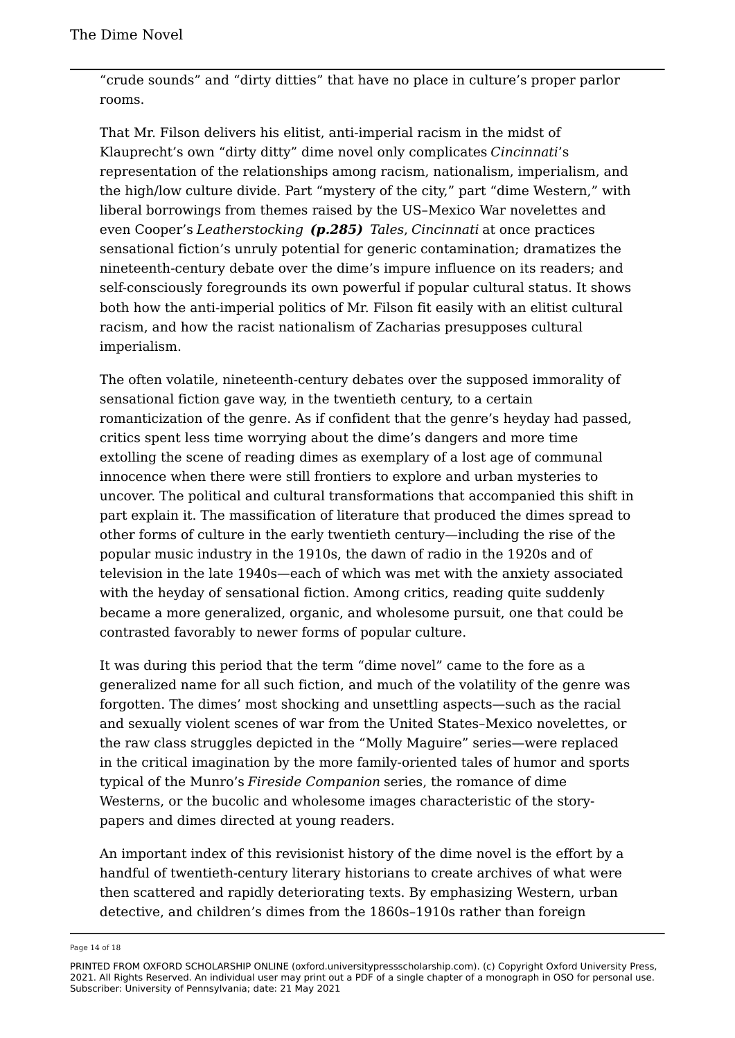"crude sounds" and "dirty ditties" that have no place in culture's proper parlor rooms.

That Mr. Filson delivers his elitist, anti-imperial racism in the midst of Klauprecht's own "dirty ditty" dime novel only complicates *Cincinnati*'s representation of the relationships among racism, nationalism, imperialism, and the high/low culture divide. Part "mystery of the city," part "dime Western," with liberal borrowings from themes raised by the US–Mexico War novelettes and even Cooper's *Leatherstocking (p.285) Tales*, *Cincinnati* at once practices sensational fiction's unruly potential for generic contamination; dramatizes the nineteenth-century debate over the dime's impure influence on its readers; and self-consciously foregrounds its own powerful if popular cultural status. It shows both how the anti-imperial politics of Mr. Filson fit easily with an elitist cultural racism, and how the racist nationalism of Zacharias presupposes cultural imperialism.

The often volatile, nineteenth-century debates over the supposed immorality of sensational fiction gave way, in the twentieth century, to a certain romanticization of the genre. As if confident that the genre's heyday had passed, critics spent less time worrying about the dime's dangers and more time extolling the scene of reading dimes as exemplary of a lost age of communal innocence when there were still frontiers to explore and urban mysteries to uncover. The political and cultural transformations that accompanied this shift in part explain it. The massification of literature that produced the dimes spread to other forms of culture in the early twentieth century—including the rise of the popular music industry in the 1910s, the dawn of radio in the 1920s and of television in the late 1940s—each of which was met with the anxiety associated with the heyday of sensational fiction. Among critics, reading quite suddenly became a more generalized, organic, and wholesome pursuit, one that could be contrasted favorably to newer forms of popular culture.

It was during this period that the term "dime novel" came to the fore as a generalized name for all such fiction, and much of the volatility of the genre was forgotten. The dimes' most shocking and unsettling aspects—such as the racial and sexually violent scenes of war from the United States–Mexico novelettes, or the raw class struggles depicted in the "Molly Maguire" series—were replaced in the critical imagination by the more family-oriented tales of humor and sports typical of the Munro's *Fireside Companion* series, the romance of dime Westerns, or the bucolic and wholesome images characteristic of the storypapers and dimes directed at young readers.

An important index of this revisionist history of the dime novel is the effort by a handful of twentieth-century literary historians to create archives of what were then scattered and rapidly deteriorating texts. By emphasizing Western, urban detective, and children's dimes from the 1860s–1910s rather than foreign

Page 14 of 18

PRINTED FROM OXFORD SCHOLARSHIP ONLINE (oxford.universitypressscholarship.com). (c) Copyright Oxford University Press, 2021. All Rights Reserved. An individual user may print out a PDF of a single chapter of a monograph in OSO for personal use. Subscriber: University of Pennsylvania; date: 21 May 2021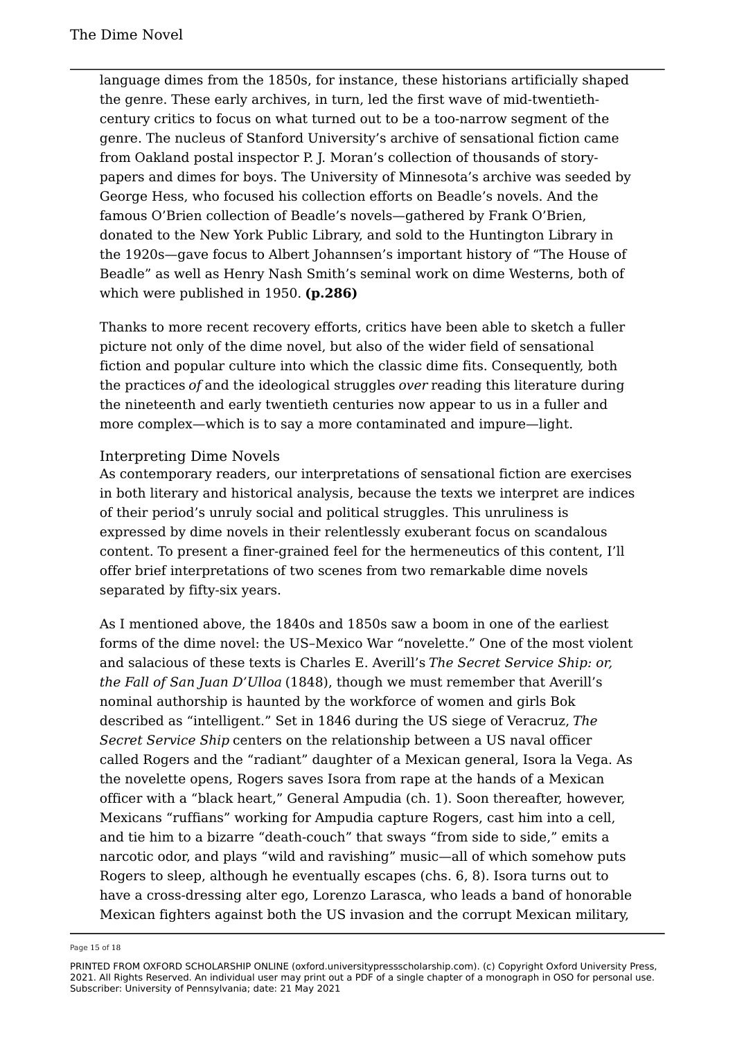language dimes from the 1850s, for instance, these historians artificially shaped the genre. These early archives, in turn, led the first wave of mid-twentiethcentury critics to focus on what turned out to be a too-narrow segment of the genre. The nucleus of Stanford University's archive of sensational fiction came from Oakland postal inspector P. J. Moran's collection of thousands of storypapers and dimes for boys. The University of Minnesota's archive was seeded by George Hess, who focused his collection efforts on Beadle's novels. And the famous O'Brien collection of Beadle's novels—gathered by Frank O'Brien, donated to the New York Public Library, and sold to the Huntington Library in the 1920s—gave focus to Albert Johannsen's important history of "The House of Beadle" as well as Henry Nash Smith's seminal work on dime Westerns, both of which were published in 1950. **(p.286)**

Thanks to more recent recovery efforts, critics have been able to sketch a fuller picture not only of the dime novel, but also of the wider field of sensational fiction and popular culture into which the classic dime fits. Consequently, both the practices *of* and the ideological struggles *over* reading this literature during the nineteenth and early twentieth centuries now appear to us in a fuller and more complex—which is to say a more contaminated and impure—light.

#### Interpreting Dime Novels

As contemporary readers, our interpretations of sensational fiction are exercises in both literary and historical analysis, because the texts we interpret are indices of their period's unruly social and political struggles. This unruliness is expressed by dime novels in their relentlessly exuberant focus on scandalous content. To present a finer-grained feel for the hermeneutics of this content, I'll offer brief interpretations of two scenes from two remarkable dime novels separated by fifty-six years.

As I mentioned above, the 1840s and 1850s saw a boom in one of the earliest forms of the dime novel: the US–Mexico War "novelette." One of the most violent and salacious of these texts is Charles E. Averill's *The Secret Service Ship: or, the Fall of San Juan D'Ulloa* (1848), though we must remember that Averill's nominal authorship is haunted by the workforce of women and girls Bok described as "intelligent." Set in 1846 during the US siege of Veracruz, *The Secret Service Ship* centers on the relationship between a US naval officer called Rogers and the "radiant" daughter of a Mexican general, Isora la Vega. As the novelette opens, Rogers saves Isora from rape at the hands of a Mexican officer with a "black heart," General Ampudia (ch. 1). Soon thereafter, however, Mexicans "ruffians" working for Ampudia capture Rogers, cast him into a cell, and tie him to a bizarre "death-couch" that sways "from side to side," emits a narcotic odor, and plays "wild and ravishing" music—all of which somehow puts Rogers to sleep, although he eventually escapes (chs. 6, 8). Isora turns out to have a cross-dressing alter ego, Lorenzo Larasca, who leads a band of honorable Mexican fighters against both the US invasion and the corrupt Mexican military,

Page 15 of 18

PRINTED FROM OXFORD SCHOLARSHIP ONLINE (oxford.universitypressscholarship.com). (c) Copyright Oxford University Press, 2021. All Rights Reserved. An individual user may print out a PDF of a single chapter of a monograph in OSO for personal use. Subscriber: University of Pennsylvania; date: 21 May 2021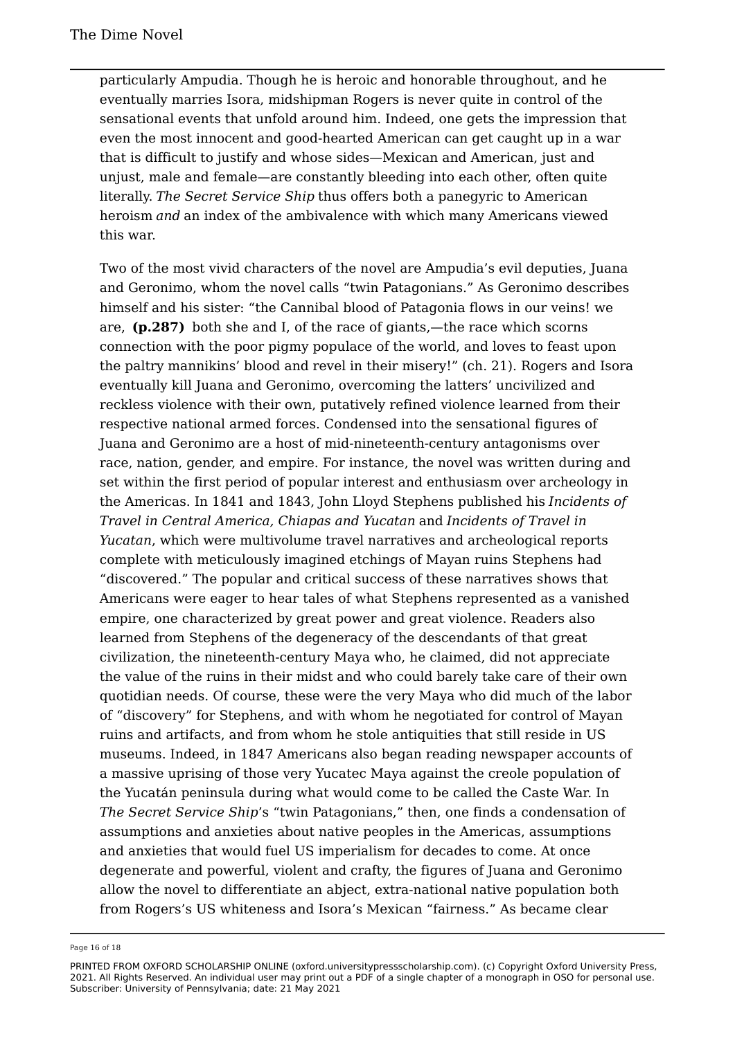particularly Ampudia. Though he is heroic and honorable throughout, and he eventually marries Isora, midshipman Rogers is never quite in control of the sensational events that unfold around him. Indeed, one gets the impression that even the most innocent and good-hearted American can get caught up in a war that is difficult to justify and whose sides—Mexican and American, just and unjust, male and female—are constantly bleeding into each other, often quite literally. *The Secret Service Ship* thus offers both a panegyric to American heroism *and* an index of the ambivalence with which many Americans viewed this war.

Two of the most vivid characters of the novel are Ampudia's evil deputies, Juana and Geronimo, whom the novel calls "twin Patagonians." As Geronimo describes himself and his sister: "the Cannibal blood of Patagonia flows in our veins! we are, **(p.287)** both she and I, of the race of giants,—the race which scorns connection with the poor pigmy populace of the world, and loves to feast upon the paltry mannikins' blood and revel in their misery!" (ch. 21). Rogers and Isora eventually kill Juana and Geronimo, overcoming the latters' uncivilized and reckless violence with their own, putatively refined violence learned from their respective national armed forces. Condensed into the sensational figures of Juana and Geronimo are a host of mid-nineteenth-century antagonisms over race, nation, gender, and empire. For instance, the novel was written during and set within the first period of popular interest and enthusiasm over archeology in the Americas. In 1841 and 1843, John Lloyd Stephens published his *Incidents of Travel in Central America, Chiapas and Yucatan* and *Incidents of Travel in Yucatan*, which were multivolume travel narratives and archeological reports complete with meticulously imagined etchings of Mayan ruins Stephens had "discovered." The popular and critical success of these narratives shows that Americans were eager to hear tales of what Stephens represented as a vanished empire, one characterized by great power and great violence. Readers also learned from Stephens of the degeneracy of the descendants of that great civilization, the nineteenth-century Maya who, he claimed, did not appreciate the value of the ruins in their midst and who could barely take care of their own quotidian needs. Of course, these were the very Maya who did much of the labor of "discovery" for Stephens, and with whom he negotiated for control of Mayan ruins and artifacts, and from whom he stole antiquities that still reside in US museums. Indeed, in 1847 Americans also began reading newspaper accounts of a massive uprising of those very Yucatec Maya against the creole population of the Yucatán peninsula during what would come to be called the Caste War. In *The Secret Service Ship*'s "twin Patagonians," then, one finds a condensation of assumptions and anxieties about native peoples in the Americas, assumptions and anxieties that would fuel US imperialism for decades to come. At once degenerate and powerful, violent and crafty, the figures of Juana and Geronimo allow the novel to differentiate an abject, extra-national native population both from Rogers's US whiteness and Isora's Mexican "fairness." As became clear

Page 16 of 18

PRINTED FROM OXFORD SCHOLARSHIP ONLINE (oxford.universitypressscholarship.com). (c) Copyright Oxford University Press, 2021. All Rights Reserved. An individual user may print out a PDF of a single chapter of a monograph in OSO for personal use. Subscriber: University of Pennsylvania; date: 21 May 2021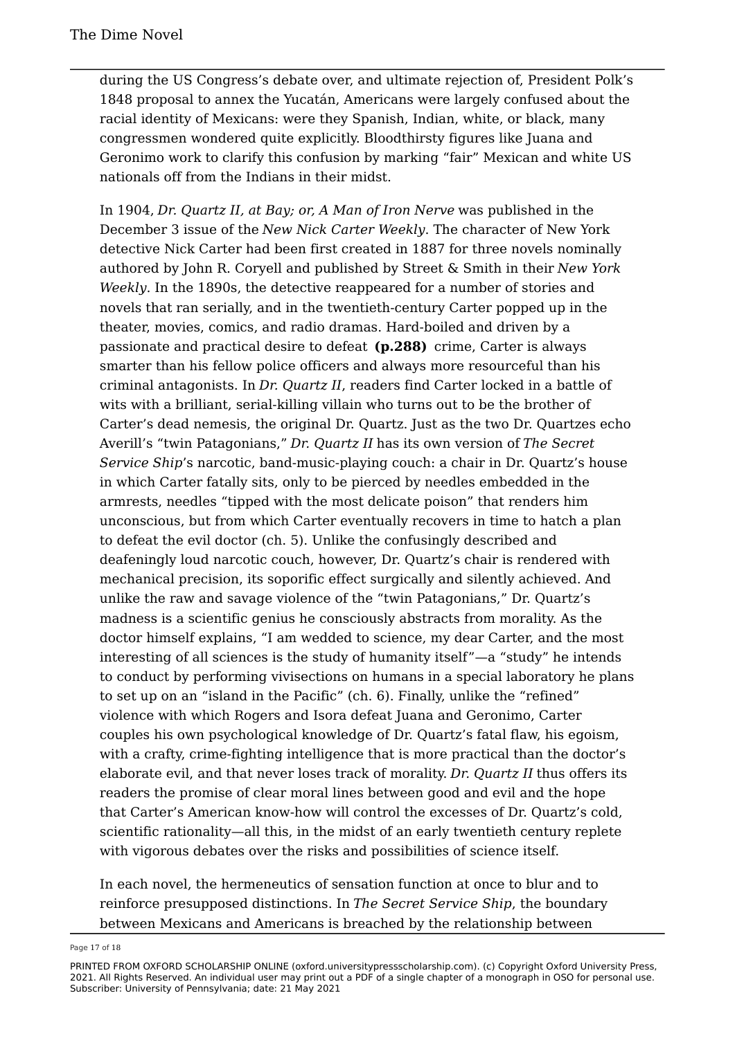during the US Congress's debate over, and ultimate rejection of, President Polk's 1848 proposal to annex the Yucatán, Americans were largely confused about the racial identity of Mexicans: were they Spanish, Indian, white, or black, many congressmen wondered quite explicitly. Bloodthirsty figures like Juana and Geronimo work to clarify this confusion by marking "fair" Mexican and white US nationals off from the Indians in their midst.

In 1904, *Dr. Quartz II, at Bay; or, A Man of Iron Nerve* was published in the December 3 issue of the *New Nick Carter Weekly*. The character of New York detective Nick Carter had been first created in 1887 for three novels nominally authored by John R. Coryell and published by Street & Smith in their *New York Weekly*. In the 1890s, the detective reappeared for a number of stories and novels that ran serially, and in the twentieth-century Carter popped up in the theater, movies, comics, and radio dramas. Hard-boiled and driven by a passionate and practical desire to defeat **(p.288)** crime, Carter is always smarter than his fellow police officers and always more resourceful than his criminal antagonists. In *Dr. Quartz II*, readers find Carter locked in a battle of wits with a brilliant, serial-killing villain who turns out to be the brother of Carter's dead nemesis, the original Dr. Quartz. Just as the two Dr. Quartzes echo Averill's "twin Patagonians," *Dr. Quartz II* has its own version of *The Secret Service Ship*'s narcotic, band-music-playing couch: a chair in Dr. Quartz's house in which Carter fatally sits, only to be pierced by needles embedded in the armrests, needles "tipped with the most delicate poison" that renders him unconscious, but from which Carter eventually recovers in time to hatch a plan to defeat the evil doctor (ch. 5). Unlike the confusingly described and deafeningly loud narcotic couch, however, Dr. Quartz's chair is rendered with mechanical precision, its soporific effect surgically and silently achieved. And unlike the raw and savage violence of the "twin Patagonians," Dr. Quartz's madness is a scientific genius he consciously abstracts from morality. As the doctor himself explains, "I am wedded to science, my dear Carter, and the most interesting of all sciences is the study of humanity itself"—a "study" he intends to conduct by performing vivisections on humans in a special laboratory he plans to set up on an "island in the Pacific" (ch. 6). Finally, unlike the "refined" violence with which Rogers and Isora defeat Juana and Geronimo, Carter couples his own psychological knowledge of Dr. Quartz's fatal flaw, his egoism, with a crafty, crime-fighting intelligence that is more practical than the doctor's elaborate evil, and that never loses track of morality. *Dr. Quartz II* thus offers its readers the promise of clear moral lines between good and evil and the hope that Carter's American know-how will control the excesses of Dr. Quartz's cold, scientific rationality—all this, in the midst of an early twentieth century replete with vigorous debates over the risks and possibilities of science itself.

In each novel, the hermeneutics of sensation function at once to blur and to reinforce presupposed distinctions. In *The Secret Service Ship*, the boundary between Mexicans and Americans is breached by the relationship between

Page 17 of 18

PRINTED FROM OXFORD SCHOLARSHIP ONLINE (oxford.universitypressscholarship.com). (c) Copyright Oxford University Press, 2021. All Rights Reserved. An individual user may print out a PDF of a single chapter of a monograph in OSO for personal use. Subscriber: University of Pennsylvania; date: 21 May 2021